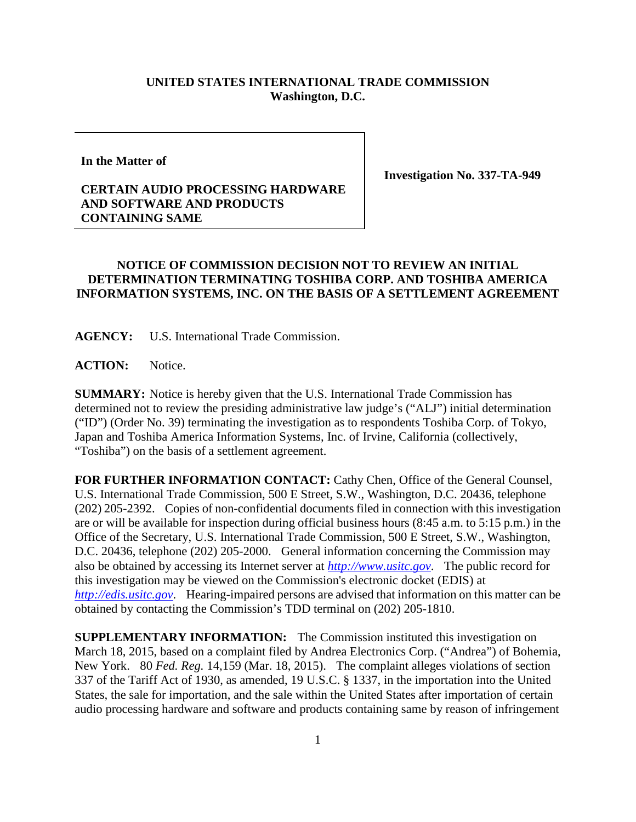## **UNITED STATES INTERNATIONAL TRADE COMMISSION Washington, D.C.**

**In the Matter of**

## **CERTAIN AUDIO PROCESSING HARDWARE AND SOFTWARE AND PRODUCTS CONTAINING SAME**

**Investigation No. 337-TA-949**

## **NOTICE OF COMMISSION DECISION NOT TO REVIEW AN INITIAL DETERMINATION TERMINATING TOSHIBA CORP. AND TOSHIBA AMERICA INFORMATION SYSTEMS, INC. ON THE BASIS OF A SETTLEMENT AGREEMENT**

**AGENCY:** U.S. International Trade Commission.

ACTION: Notice.

**SUMMARY:** Notice is hereby given that the U.S. International Trade Commission has determined not to review the presiding administrative law judge's ("ALJ") initial determination ("ID") (Order No. 39) terminating the investigation as to respondents Toshiba Corp. of Tokyo, Japan and Toshiba America Information Systems, Inc. of Irvine, California (collectively, "Toshiba") on the basis of a settlement agreement.

**FOR FURTHER INFORMATION CONTACT:** Cathy Chen, Office of the General Counsel, U.S. International Trade Commission, 500 E Street, S.W., Washington, D.C. 20436, telephone (202) 205-2392. Copies of non-confidential documents filed in connection with this investigation are or will be available for inspection during official business hours (8:45 a.m. to 5:15 p.m.) in the Office of the Secretary, U.S. International Trade Commission, 500 E Street, S.W., Washington, D.C. 20436, telephone (202) 205-2000. General information concerning the Commission may also be obtained by accessing its Internet server at *[http://www.usitc.gov](http://www.usitc.gov/)*. The public record for this investigation may be viewed on the Commission's electronic docket (EDIS) at *[http://edis.usitc.gov](http://edis.usitc.gov/)*. Hearing-impaired persons are advised that information on this matter can be obtained by contacting the Commission's TDD terminal on (202) 205-1810.

**SUPPLEMENTARY INFORMATION:** The Commission instituted this investigation on March 18, 2015, based on a complaint filed by Andrea Electronics Corp. ("Andrea") of Bohemia, New York. 80 *Fed. Reg.* 14,159 (Mar. 18, 2015). The complaint alleges violations of section 337 of the Tariff Act of 1930, as amended, 19 U.S.C. § 1337, in the importation into the United States, the sale for importation, and the sale within the United States after importation of certain audio processing hardware and software and products containing same by reason of infringement